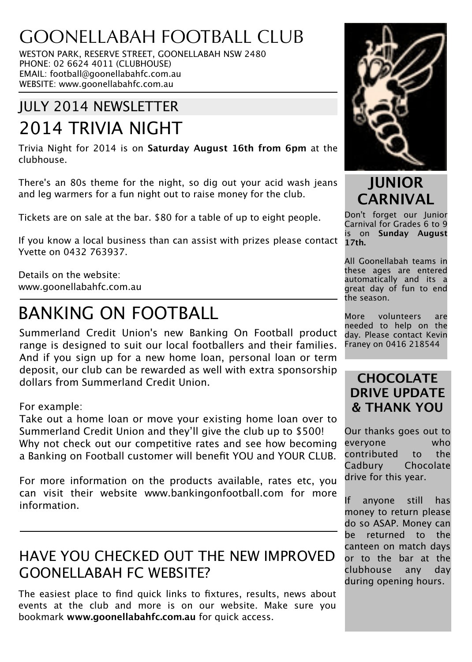## GOONELLABAH FOOTBALL CLUB

WESTON PARK, RESERVE STREET, GOONELLABAH NSW 2480 PHONE: 02 6624 4011 (CLUBHOUSE) EMAIL: football@goonellabahfc.com.au WEBSITE: www.goonellabahfc.com.au

## JULY 2014 NEWSLETTER

# 2014 TRIVIA NIGHT

Trivia Night for 2014 is on **Saturday August 16th from 6pm** at the clubhouse.

There's an 80s theme for the night, so dig out your acid wash jeans and leg warmers for a fun night out to raise money for the club.

Tickets are on sale at the bar. \$80 for a table of up to eight people.

If you know a local business than can assist with prizes please contact Yvette on 0432 763937.

Details on the website: www.goonellabahfc.com.au

## BANKING ON FOOTBALL

Summerland Credit Union's new Banking On Football product range is designed to suit our local footballers and their families. And if you sign up for a new home loan, personal loan or term deposit, our club can be rewarded as well with extra sponsorship dollars from Summerland Credit Union.

For example:

Take out a home loan or move your existing home loan over to Summerland Credit Union and they'll give the club up to \$500! Why not check out our competitive rates and see how becoming a Banking on Football customer will benefit YOU and YOUR CLUB.

For more information on the products available, rates etc, you can visit their website www.bankingonfootball.com for more information.

## HAVE YOU CHECKED OUT THE NEW IMPROVED GOONELLABAH FC WEBSITE?

The easiest place to find quick links to fixtures, results, news about events at the club and more is on our website. Make sure you bookmark **www.goonellabahfc.com.au** for quick access.



**JUNIOR CARNIVAL**

Don't forget our Junior Carnival for Grades 6 to 9 is on **Sunday August 17th.**

All Goonellabah teams in these ages are entered automatically and its a great day of fun to end the season.

More volunteers are needed to help on the day. Please contact Kevin Franey on 0416 218544

## **CHOCOLATE DRIVE UPDATE & THANK YOU**

Our thanks goes out to everyone who contributed to the Cadbury Chocolate drive for this year.

If anyone still has money to return please do so ASAP. Money can be returned to the canteen on match days or to the bar at the clubhouse any day during opening hours.